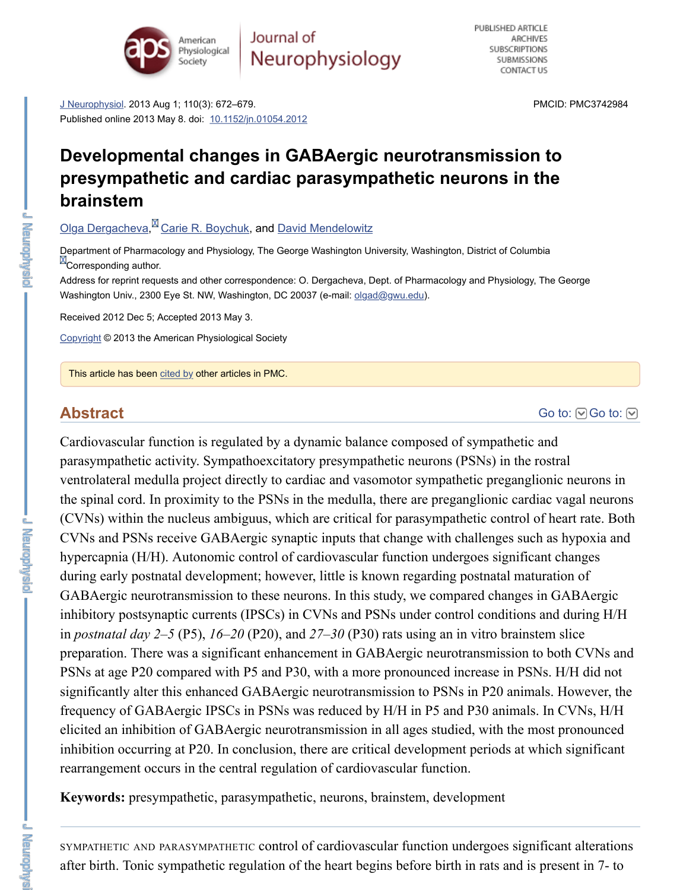#### **brainstem**

### Olga Dergacheva,<sup>M</sup> Carie R. Boychuk, and David Mendelowitz

Department of Pharmacology and Physiology, The George Washington University, Washington, District of Colun **ED** Corresponding author.

Address for reprint requests and other correspondence: O. Dergacheva, Dept. of Pharmacology and Physiology [Washington Un](https://www.ncbi.nlm.nih.gov/pmc/articles/PMC3742984/#)iv., 2300 Eye St. NW, Washington, DC 20037 (e-mail: olgad@gwu.edu).

Received 2012 Dec 5; Accepted 2[013 May 3.](https://dx.doi.org/10.1152%2Fjn.01054.2012)

Copyright © 2013 the American Physiological Society

This article has been cited by other articles in PMC.

## **[Abstract](https://www.ncbi.nlm.nih.gov/pubmed/?term=Dergacheva%20O%5BAuthor%5D&cauthor=true&cauthor_uid=23657280)**

Cardiovascular function is regulated by a dynamic balance composed of sympathetic parasympathetic activity. Sympathoexcitatory presympathetic neurons (PSNs) in the ventrolateral medulla project directly to cardiac and vasomotor sympathetic pregangl the spinal cord. In proximity to the PSNs in the med[ulla, there are](mailto:dev@null) preganglionic card (CVNs) within the nucleus ambiguus, which are critical for parasympathetic control [CVNs a](https://www.ncbi.nlm.nih.gov/pmc/about/copyright/)nd PSNs receive GABAergic synaptic inputs that change with challenges such hypercapnia (H/H). Autonomic control of cardiovascular function undergoes signific during early post[natal de](https://www.ncbi.nlm.nih.gov/pmc/articles/PMC3742984/citedby/)velopment; however, little is known regarding postnatal mat GABAergic neurotransmission to these neurons. In this study, we compared changes inhibitory postsynaptic currents (IPSCs) in CVNs and PSNs under control conditions in *postnatal day 2–5* (P5),  $16-20$  (P20), and  $27-30$  (P30) rats using an in vitro brains preparation. There was a significant enhancement in GABAergic neurotransmission to PSNs at age P20 compared with P5 and P30, with a more pronounced increase in PS. significantly alter this enhanced GABAergic neurotransmission to PSNs in P20 anim frequency of GABAergic IPSCs in PSNs was reduced by H/H in P5 and P30 animals. elicited an inhibition of GABAergic neurotransmission in all ages studied, with the n inhibition occurring at P20. In conclusion, there are critical development periods at w rearrangement occurs in the central regulation of cardiovascular function.

**Keywords:** presympathetic, parasympathetic, neurons, brainstem, development

SYMPATHETIC AND PARASYMPATHETIC control of cardiovascular function undergoes sign after birth. Tonic sympathetic regulation of the heart begins before birth in rats and is

**Exploration**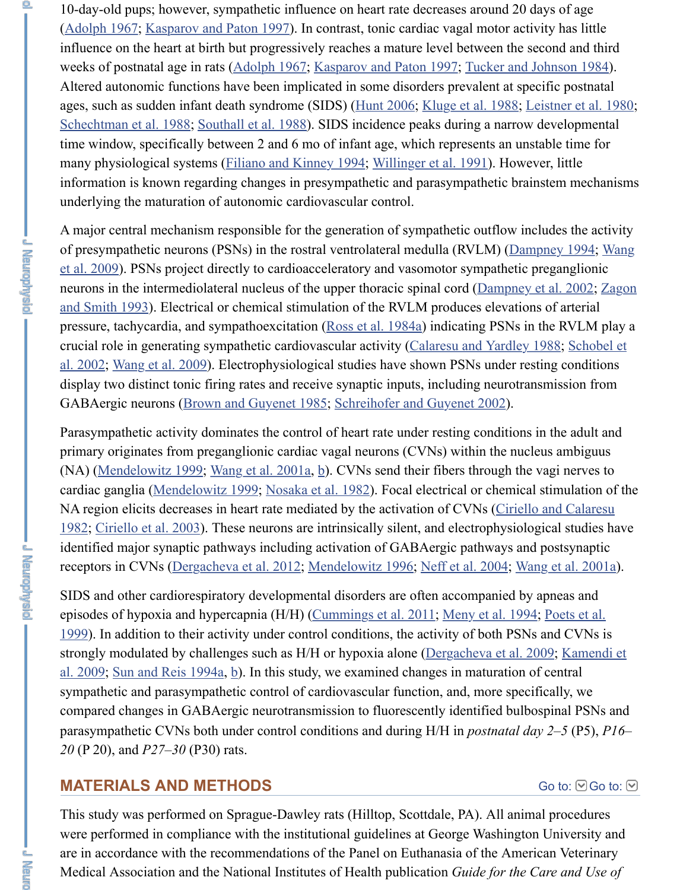underlying the maturation of autonomic cardiovascular control.

[A major centra](https://www.ncbi.nlm.nih.gov/pmc/articles/PMC3742984/#B1)[l mechanism responsible f](https://www.ncbi.nlm.nih.gov/pmc/articles/PMC3742984/#B26)or the generation of sympathetic outflow includes the activity. of presympathetic neurons (PSNs) in the rostral ventrolateral medulla (RVLM) (Dam et al. 2009). PSNs project dire[ctly to cardioa](https://www.ncbi.nlm.nih.gov/pmc/articles/PMC3742984/#B1)[cceleratory and vasomotor](https://www.ncbi.nlm.nih.gov/pmc/articles/PMC3742984/#B26) sympathetic pregangleright neurons in the intermediolateral nucleus of the upper thoracic spinal cord (Dampney and Smith 1993). Electrical or chemical stimulation [of the RVL](https://www.ncbi.nlm.nih.gov/pmc/articles/PMC3742984/#B22)[M produces elevati](https://www.ncbi.nlm.nih.gov/pmc/articles/PMC3742984/#B27)on [pressure, tachycardia, a](https://www.ncbi.nlm.nih.gov/pmc/articles/PMC3742984/#B44)n[d sympathoexcitatio](https://www.ncbi.nlm.nih.gov/pmc/articles/PMC3742984/#B47)n (Ross et al. 1984a) indicating PSNs in crucial role in generating sympathetic cardiovascular activity (Calaresu and Yardley al. 2002; Wang et al. 2009). [Electrophysiological studie](https://www.ncbi.nlm.nih.gov/pmc/articles/PMC3742984/#B19)[s have shown PSNs u](https://www.ncbi.nlm.nih.gov/pmc/articles/PMC3742984/#B56)nder res display two distinct tonic firing rates and receive synaptic inputs, including neurotrans GABAergic neurons (Brown and Guyenet 1985; Schreihofer and Guyenet 2002).

Parasympathetic activity dominates the control of heart rate under resting conditions primary originates from preganglionic cardiac vagal neurons (CVNs) within the nucl (NA) (Mendelowitz 1999; Wang et al.  $2001a$ , b). CVNs send their fibers through the cardiac ganglia (Mendelowitz 1999; Nosaka et al. 1982). Focal electrical or chemical NA region elicits decreases in heart rate mediated by the activation of CVNs (Ciriello 1982; Ciriello et al. 2003). These neurons are i[ntrinsically silent,](https://www.ncbi.nlm.nih.gov/pmc/articles/PMC3742984/#B43) and electrophysiolo identified major synaptic pathways including activation of GABAergic pathways and receptors [in CVNs \(Dergac](https://www.ncbi.nlm.nih.gov/pmc/articles/PMC3742984/#B55)heva et al. 2012; Mendelowitz 1996; Neff et al. 2004; Wa

SIDS and other cardi[orespiratory developmental](https://www.ncbi.nlm.nih.gov/pmc/articles/PMC3742984/#B5) [disorders are often accompanie](https://www.ncbi.nlm.nih.gov/pmc/articles/PMC3742984/#B46)d by episodes of hypoxia and hypercapnia (H/H) (Cummings et al. 2011; Meny et al. 1994; 1999). In addition to their activity under control conditions, the activity of both PSNs strongly modulated by challenges such as H/H or hypoxia alone (Dergacheva et al. 2009; Kamendi et al. 2009; Kamendi et al. 2009; Kamendi et al. 2009; Kamendi et al. 2009; Kamendi et al. 2009; Kamendi et al. 2009; Kamendi e al.  $2009$ ; Sun and Reis 19[94a, b\). In this stud](https://www.ncbi.nlm.nih.gov/pmc/articles/PMC3742984/#B52)[y, w](https://www.ncbi.nlm.nih.gov/pmc/articles/PMC3742984/#B53)e examined changes in maturation of sympathetic and [parasympathetic co](https://www.ncbi.nlm.nih.gov/pmc/articles/PMC3742984/#B35)[ntrol of cardiovascu](https://www.ncbi.nlm.nih.gov/pmc/articles/PMC3742984/#B40)lar function, and, more speci compared changes in GABAergic neurotransmission to fluorescently identified bulbo paras[ympathetic CVNs b](https://www.ncbi.nlm.nih.gov/pmc/articles/PMC3742984/#B8)oth under control conditions and during H/H in *postnatal dd 20* (P 20), and *P27–30* [\(P30\) rats.](https://www.ncbi.nlm.nih.gov/pmc/articles/PMC3742984/#B13)

## **MATERIALS AND METHODS**

This study was performed on Sprague-Dawley rats (Hilltop, Scottdale, PA). All anim were performed in compliance with the institutional guidelines at George Washington are in accordance with the recommendations of the Panel on Euthanasia of the Amer Medical [Association and the](https://www.ncbi.nlm.nih.gov/pmc/articles/PMC3742984/#B48) [Na](https://www.ncbi.nlm.nih.gov/pmc/articles/PMC3742984/#B49)tional Institutes of Health publication *Guide for the* C

不通信者

**Disturbition**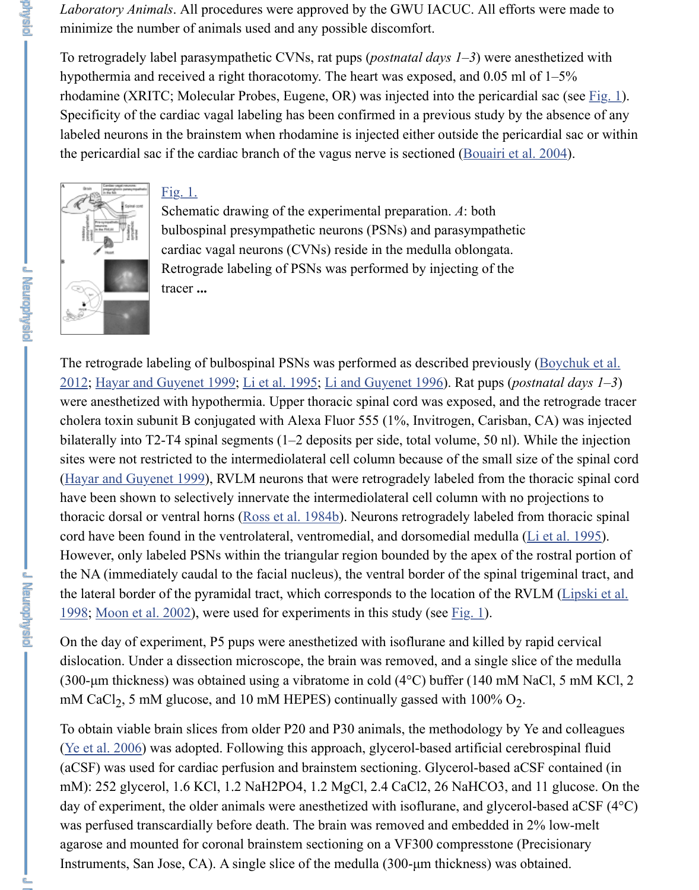

Fig. 1.

Schematic drawing of the experimental preparation. *A*: both bulbospinal presympathetic neurons (PSNs) and parasympathetic cardiac vagal neurons (CVNs) reside in the medulla oblongata. Retrograde labeling of PSNs was performed by injecting of the tracer **...**

The retrograde labeling of bulbospinal PSNs was performed as described previously 2012; Hayar and [Guyene](https://www.ncbi.nlm.nih.gov/pmc/articles/PMC3742984/figure/F1/)t 1999; Li et al. 1995; Li and Guyenet 1996). Rat pups (*postalant*) [were anesthetize](https://www.ncbi.nlm.nih.gov/pmc/articles/PMC3742984/figure/F1/)d with hypothermia. Upper thoracic spinal cord was exposed, and th cholera toxin subunit B conjugated with Alexa Fluor  $555$  (1%, Invitrogen, Carisban, bilaterally into T2-T4 spinal segments  $(1-2$  deposits per side, total volume, 50 nl). When sites were not restricted to the intermediolateral cell column because of the small size (Hayar and Guyenet 1999), RVLM neurons that were retrogradely labeled from the thoracic spinal cordinal corrections of Hayar and Guyenet 1999), RVLM neurons that were retrogradely labeled from the thoracic spinal cordinal have been shown to selectively innervate the intermediolateral cell column with no p thoracic dorsal or ventral horns (Ross et al. 1984b). Neurons retrogradely labeled from cord have been found in the ventrolateral, ventromedial, and dorsomedial medulla ( $L$ However, only labeled PSNs within the triangular region bounded by the apex of the the NA (immediately caudal to the facial nucleus), the ventral border of the spinal trig the lateral border of the pyramidal tract, which corresponds to the location of the RV. 1998; Moon et al. 2002), were used for experiments in this study (see  $Fig. 1$ ).

On the day of experiment, P5 pups were anesthetized with isoflurane and killed by rapid cervical cervical cervical cervical cervical cervical cervical cervical cervical cervical cervical cervical cervical cervical cervical dislocation. Under a dissection microscope, the brain was removed, and a single slice [\(300-µm thickness\) was ob](https://www.ncbi.nlm.nih.gov/pmc/articles/PMC3742984/#B21)tained using a vibratome in cold (4 $\degree$ C) buffer (140 mM Na mM CaCl<sub>2</sub>, 5 mM glucose, and 10 mM HEPES) continually gassed with 100%  $O_2$ .

To obtain viable brain slices from older P20 and P30 animals, the methodology by Yo (Ye et al. 2006) was adopted. Following this approach, glycerol-based artificial cerebr (aCSF) was used for cardiac perfusion and brainstem sectioning. Glycerol-based aCS mM): 252 glycerol, 1.6 KCl, 1.2 NaH2PO4, 1.2 MgCl, 2.4 CaCl2, 26 NaHCO3, and day of experiment, the older animals were anesthetized with isoflurane, and glycerolwas perfused transcardially before death. The brain was removed and embedded in 2 agarose and mounted for coronal brainstem sectioning on a VF300 compresstone (Pr Instruments, San Jose, CA). A single slice of the medulla  $(300 \text{-} \mu \text{m}$  thickness) was ob

**Leurahaidh**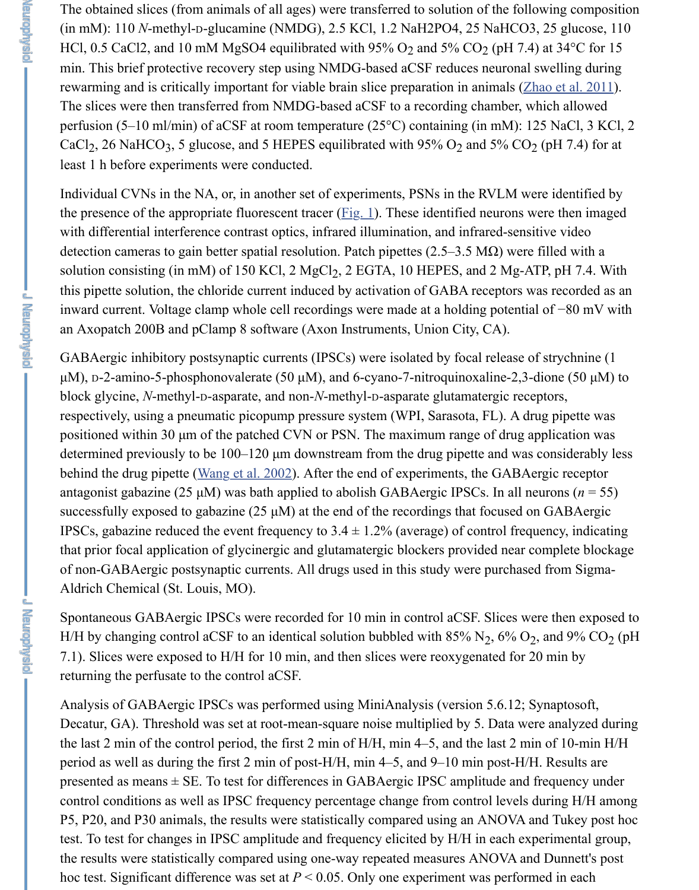Individual CVNs in the NA, or, in another set of experiments, PSNs in the RVLM were identified by the presence of the appropriate fluorescent tracer ( $Fig. 1$ ). These identified neurons we with differential interference contrast optics, infrared illumination, and infrared-sensitive videos detection cameras to gain better spatial resolution. Patch pipettes  $(2.5-3.5 \text{ M}\Omega)$  were solution consisting (in mM) of 150 KCl, 2 MgCl<sub>2</sub>, 2 EGTA, 10 HEPES, and 2 Mg-A<sup>T</sup> this pipette solution, the chloride current induced by activation of GABA receptors w inward current. Voltage clamp whole cell recordings were made at a holding potentia an Axopatch 200B and pClamp 8 software (Axon Instruments, Union City, CA).

GABAergic inhibitory postsynaptic currents (IPSCs) were isolated by focal release of  $\mu$ M), D-2-amino-5-phosphonovalerate (50  $\mu$ M), and 6-cyano-7-nitroquinoxaline-2,3-diometric block glycine, *N*-methyl-D-asparate, and non-*N*-methyl-D-asparate glutamatergic rece respectively, using a pneumatic picopump pressur[e syste](https://www.ncbi.nlm.nih.gov/pmc/articles/PMC3742984/figure/F1/)m (WPI, Sarasota, FL). A dr positioned within 30 µm of the patched CVN or PSN. The maximum range of drug a determined previously to be  $100-120 \mu m$  downstream from the drug pipette and was behind the drug pipette (Wang et al. 2002). After the end of experiments, the GABA $\epsilon$ antagonist gabazine (25 µM) was bath applied to abolish GABAergic IPSCs. In all ne successfully exposed to gabazine (25  $\mu$ M) at the end of the recordings that focused on IPSCs, gabazine reduced the event frequency to  $3.4 \pm 1.2\%$  (average) of control frequency that prior focal application of glycinergic and glutamatergic blockers provided near c of non-GABAergic postsynaptic currents. All drugs used in this study were purchase Aldrich Chemical (St. Louis, MO).

Spontaneous GABAergic IPSCs were recorded for 10 min in control aCSF. Slices we H/H by changing control aCSF to an identical solution bubbled with 85%  $\mathrm{N}_2$ , 6%  $\mathrm{O}_2$ 7.1). Slices were exposed to H/H for 10 min, and then slices were reoxygenated for 2 returning the perfusate t[o the control aCSF](https://www.ncbi.nlm.nih.gov/pmc/articles/PMC3742984/#B54).

Analysis of GABAergic IPSCs was performed using MiniAnalysis (version 5.6.12; S Decatur, GA). Threshold was set at root-mean-square noise multiplied by 5. Data we the last 2 min of the control period, the first 2 min of  $H/H$ , min 4–5, and the last 2 min period as well as during the first 2 min of post-H/H, min 4–5, and 9–10 min post-H/H presented as means  $\pm$  SE. To test for differences in GABAergic IPSC amplitude and f control conditions as well as IPSC frequency percentage change from control levels on P5, P20, and P30 animals, the results were statistically compared using an ANOVA a test. To test for changes in IPSC amplitude and frequency elicited by H/H in each exp the results were statistically compared using one-way repeated measures ANOVA and hoc test. Significant difference was set at  $P < 0.05$ . Only one experiment was perform

**Le argements:**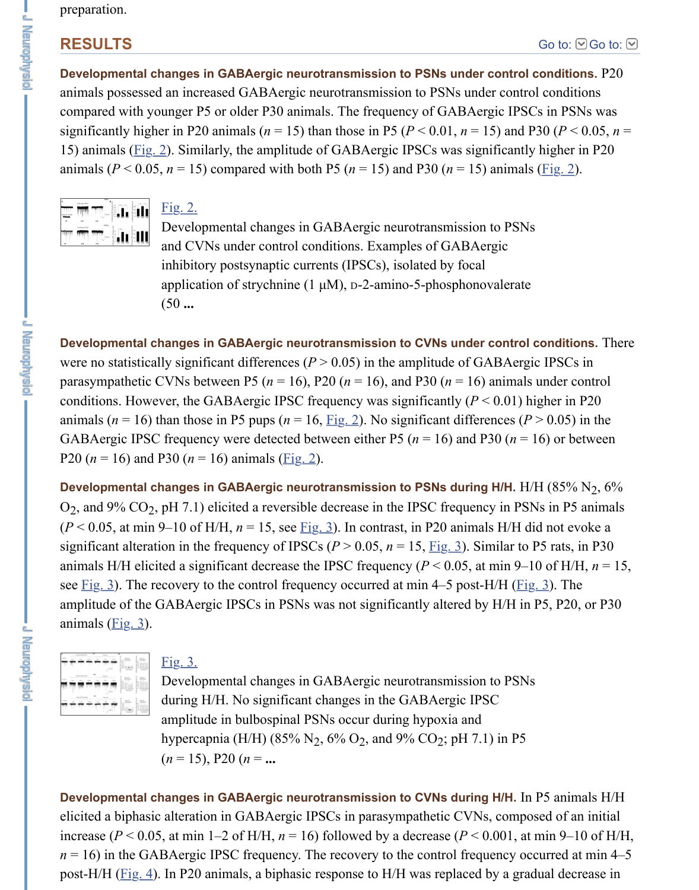

Fig. 2.

Developmental changes in GABAergic neurotransmission to PSNs and CVNs under control conditions. Examples of GABAergic inhibitory postsynaptic currents (IPSCs), isolated by focal application of strychnine  $(1 \mu M)$ , D-2-amino-5-phosphonovalerate (50 **...**

**Developmen[tal cha](https://www.ncbi.nlm.nih.gov/pmc/articles/PMC3742984/figure/F2/)nges in GABAergic neurotransmission to CVNs under control** were no statistically significant differences ( $P > 0.05$ ) in the amplitude of GABAergi parasympathetic CVNs between P5 ( $n = 16$ ), P20 ( $n = 16$ ), and P30 ( $n = 16$ ) animals conditions. Howe[ver, the](https://www.ncbi.nlm.nih.gov/pmc/articles/PMC3742984/figure/F2/) GABAergic IPSC frequency was significantly  $(P < 0.01)$  h animals ( $n = 16$ ) than those in P5 pups ( $n = 16$ ,  $\underline{Fig. 2}$ ). No significant differences (P [GABAergic IPS](https://www.ncbi.nlm.nih.gov/pmc/articles/PMC3742984/figure/F2/)C frequency were detected between either P5 ( $n = 16$ ) and P30 ( $n = 16$ ) P20 ( $n = 16$ ) and P30 ( $n = 16$ ) animals ( $\underline{Fig. 2}$ ).

Developmental changes in GABAergic neurotransmission to PSNs during H/H. H/  $O_2$ , and 9%  $CO_2$ , pH 7.1) elicited a reversible decrease in the IPSC frequency in PSN  $(P < 0.05$ , at min 9–10 of H/H,  $n = 15$ , see <u>Fig. 3</u>). In contrast, in P20 animals H/H di significant alteration in the frequency of IPSCs ( $P > 0.05$ ,  $n = 15$ ,  $Fig. 3$ ). Similar to P animals H/H elicited a significant decrease the IPSC frequency ( $P < 0.05$ , at min 9–1 see  $Fig. 3$ ). The recovery to the control frequency occurred at min 4–5 post-H/H ( $Fig. 3$ ). amplitude of the GABAergic IPSCs in PSNs w[as not](https://www.ncbi.nlm.nih.gov/pmc/articles/PMC3742984/figure/F2/) significantly altered by H/H in animals  $(Fig. 3)$ .



### Fig. 3.

Developmental changes in GABAergic neurotransmission to PSNs during H/H. No significant changes in the GABAergic IPSC amplitude in bulbospinal [PSNs](https://www.ncbi.nlm.nih.gov/pmc/articles/PMC3742984/figure/F3/) occur during hypoxia and hypercapnia (H/H) (85%  $N_2$ , 6%  $O_2$ , and 9%  $CO_2$ [; pH](https://www.ncbi.nlm.nih.gov/pmc/articles/PMC3742984/figure/F3/) 7.1) in P5  $(n = 15)$ , P20  $(n = ...$ 

De[velopm](https://www.ncbi.nlm.nih.gov/pmc/articles/PMC3742984/figure/F3/)ental changes in GABAergic neurotransmission to CVNs during H/H. In elicited a [bipha](https://www.ncbi.nlm.nih.gov/pmc/articles/PMC3742984/figure/F3/)sic alteration in GABAergic IPSCs in parasympathetic CVNs, compo increase ( $P < 0.05$ , at min 1–2 of H/H,  $n = 16$ ) followed by a decrease ( $P < 0.001$ , at  $n = 16$ ) in the GA[BAergi](https://www.ncbi.nlm.nih.gov/pmc/articles/PMC3742984/figure/F3/)c IPSC frequency. The recovery to the control frequency ocpost-H/H ( $Fig. 4$ ). In P20 animals, a biphasic response to H/H was replaced by a gradual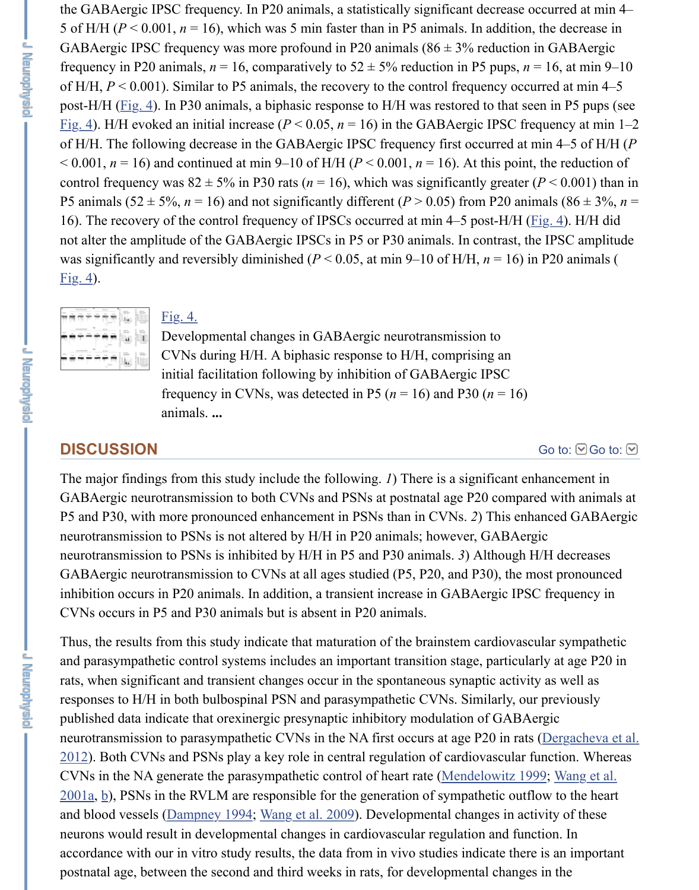P5 animals ( $52 \pm 5\%$ ,  $n = 16$ ) and not significantly different ( $P > 0.05$ ) from P20 animals 16). The recovery of the control frequency of IPSCs occurred at min 4–5 post-H/H  $(I$ not alter the amplitude of the GABAergic IPSCs in P5 or P30 animals. In contrast, the was significantly and reversibly diminished ( $P < 0.05$ , at min 9–10 of H/H,  $n = 16$ ) in  $Fig. 4$ ).



#### Fig. 4.

Developmental changes in GABAergic neurotransmission to CVNs during H/H. A biphasic response to H/H, comprising an initial facilitation following by inhibition of GABAergic IPSC frequency in CVNs, was detected in P5 ( $n = 16$ ) and P30 ( $n = 16$ ) animals. **...**

### **DISCUSSION**

[The m](https://www.ncbi.nlm.nih.gov/pmc/articles/PMC3742984/figure/F4/)ajor findings from this study include the following. *1*) There is a significant en GABAergic neurotransmission to both CVNs and PSNs at postnatal age P20 compar [P5 and P30, with](https://www.ncbi.nlm.nih.gov/pmc/articles/PMC3742984/figure/F4/) [more p](https://www.ncbi.nlm.nih.gov/pmc/articles/PMC3742984/figure/F4/)ronounced enhancement in PSNs than in CVNs. 2) This enh neurotransmission to PSNs is not altered by H/H in P20 animals; however, GABAergic neurotransmission to PSNs is inhibited by H/H in P5 and P30 animals. 3) Although H GABAergic neurotransmission to CVNs at all ages studied (P5, P20, and P30), the m inhibition occurs in P20 animals. In addition, a transient increase in GABAergic IPS CVNs occurs in P5 and P30 animals but is absent in P20 animals.

Thus, the results from this study indicate that maturation of the brainstem cardiovasc[ular sympathetic](https://www.ncbi.nlm.nih.gov/pmc/articles/PMC3742984/#)s. and parasympathetic control systems includes an important transition stage, particularly rats, when significant and transient changes occur in the spontaneous synaptic activit responses to H/H in both bulbospinal PSN and parasympathetic CVNs. Similarly, our published data indicate that orexinergic presynaptic inhibitory modulation of GABA neurotransmission to parasympathetic CVNs in the NA first occurs at age P20 in rats  $2012$ ). Both CVNs and PSNs play a key role in central regulation of cardiovascular f CVNs in the NA generate the parasympathetic control of heart rate (Mendelowitz 199  $2001a$ , b), PSNs in the RVLM are responsible for the generation of sympathetic outflow and blood vessels (Dampney 1994; Wang et al. 2009). Developmental changes in act neurons would result in developmental changes in cardiovascular regulation and fund accordance with our in vitro study results, the data from in vivo studies indicate there postnatal age, between the second and third weeks in rats, for developmental changes

**Learning State**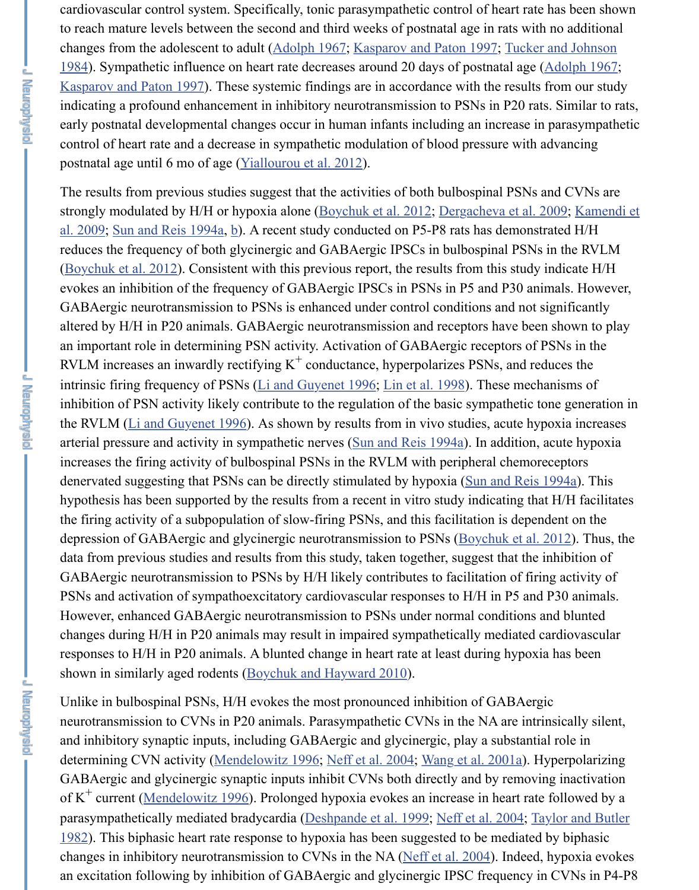strongly modulated by H/H or hypoxia alone (Boychuk et al. 2012; Dergacheva et al. al. 2009; Sun and Reis 1994a, b). A recent study conducted on P5-P8 rats has demon reduces the frequency of both glycinergic and GABAergic IPSCs in bulbospinal PSN (Boychuk et al.  $2012$ ). Consistent with this previous report, the results from this stud [evokes an inhibition of the](https://www.ncbi.nlm.nih.gov/pmc/articles/PMC3742984/#B26) frequency of GABAergic IPSCs in PSNs in P5 and P30 and GABAergic neurotransmission to PSNs is enhanced under control conditions and not altered by H/H in P20 animals. GABAergic neurotransmission and receptors have be an important role in determining PSN activity. Activation of GABAergic receptors of RVLM increases an inwardly rectifying  $K^+$  conductance, hyperpolarizes PSNs, and r intrinsic firing frequency of PSNs ( $Li$  and Guyenet 1996; Lin et al. 1998). These mechanisms of PSNs ( $Li$  and Guyenet 1996; Lin et al. 1998). inhibition of PSN activity likely contribute to [the regulation of the](https://www.ncbi.nlm.nih.gov/pmc/articles/PMC3742984/#B4) basic sympathetic the RVLM (Li and Guyenet 1996). As shown by results from in vivo studies, acute h arterial pressure and activity in sympathetic nerves (Sun and Reis 1994a). In addition i[ncreases the firing ac](https://www.ncbi.nlm.nih.gov/pmc/articles/PMC3742984/#B4)tivity of bulbospinal PSNs in the RVLM with peripheral chemore denervated suggesting that PSNs can be directly stimulated by hypoxia (Sun and Rei hypothesis has been supported by the results from a recent in vitro study indicating that the firing activity of a subpopulation of slow-firing PSNs, and this facilitation is dependent on the facilitation depression of GABAergic and glycinergic neurotransmission to PSNs (Boychuk et al. data from previous studies and results from this study, taken together, suggest that the GABAergic neurotransmission to [PSNs by H/H likely co](https://www.ncbi.nlm.nih.gov/pmc/articles/PMC3742984/#B31)[ntributes to faci](https://www.ncbi.nlm.nih.gov/pmc/articles/PMC3742984/#B32)litation of fi PSNs and activation of sympathoexcitatory cardiovascular responses to H/H in P5 and However, e[nhanced GABAergic n](https://www.ncbi.nlm.nih.gov/pmc/articles/PMC3742984/#B31)eurotransmission to PSNs under normal conditions changes during H/H in P20 animals may result in i[mpaired sympathetica](https://www.ncbi.nlm.nih.gov/pmc/articles/PMC3742984/#B48)lly mediated responses to H/H in P20 animals. A blunted change in heart rate at least during hypoxishown in similarly aged rodents (Boychuk and Hayward 2010).

**Lexicondusie** 

**J Maydrawal** 

The results from previous studies suggest that the activities of both bulbospinal PSNs and CVNs are

Unlike in bulbospinal PSNs, H/H evokes the most pronounced inhibition of GABAergic neurotransmission to CVNs in P20 animals. Parasympathetic CVNs in the NA are interiorand inhibitory synaptic inputs, including GABAergic and glycinergic, [play a substantial role](https://www.ncbi.nlm.nih.gov/pmc/articles/PMC3742984/#B4) in determining CVN activity (Mendelowitz 1996; Neff et al. 2004; Wang et al. 2001a). GABAergic and glycinergic synaptic inputs inhibit CVNs both directly and by remov of  $K^+$  current (Mendelowitz 1996). Prolonged hypoxia evokes an increase in heart rate parasympathetically mediated bradycardia (Deshpande et al. 1999; Neff et al. 2004; Taylor and Butler and Butler  $1982$ ). This biphasic heart rate response to hypoxia has been suggested to be mediate changes in inhibitory neurotransmission to CVNs in the NA (Neff et al. 2004). Indeed an excitation following by inhibit[ion of GABAergic and glycin](https://www.ncbi.nlm.nih.gov/pmc/articles/PMC3742984/#B3)ergic IPSC frequency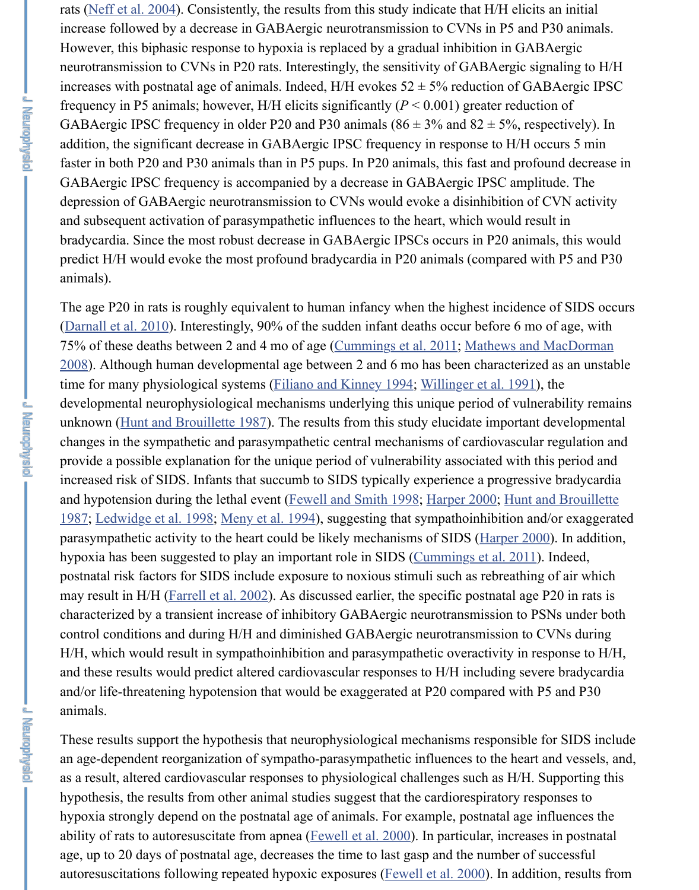depr[ession of GABA](https://www.ncbi.nlm.nih.gov/pmc/articles/PMC3742984/#B39) ergic neurotransmission to  $CVNs$  would evoke a disinhibition of and subsequent activation of parasympathetic influences to the heart, which would re bradycardia. Since the most robust decrease in GABAergic IPSCs occurs in P20 anim predict H/H would evoke the most profound bradycardia in P20 animals (compared v animals).

The age P20 in rats is roughly equivalent to human infancy when the highest inciden (Darnall et al.  $2010$ ). Interestingly,  $90\%$  of the sudden infant deaths occur before 6 m 75% of these deaths between 2 and 4 mo of age (Cummings et al. 2011; Mathews and 2008). Although human developmental age between 2 and 6 mo has been characterized time for many physiological systems (Filiano and Kinney 1994; Willinger et al. 1991) developmental neurophysiological mechanisms underlying this unique period of vuln unknown (Hunt and Brouillette 1987). The results from this study elucidate important changes in the sympathetic and parasympathetic central mechanisms of cardiovascular regulation and regulation and  $n$ provide a possible explanation for the unique period of vulnerability associated with increased risk of SIDS. Infants that succumb to SIDS typically experience a progress and hypotension during the lethal event (Fewell and Smith 1998; Harper 2000; Hunt [1987; Ledwidge et a](https://www.ncbi.nlm.nih.gov/pmc/articles/PMC3742984/#B12)l. 1998; Meny et al. 1994), suggesting that sympathoinhibition and parasympathetic activity to the heart could be lik[ely mechanisms of SID](https://www.ncbi.nlm.nih.gov/pmc/articles/PMC3742984/#B9)S (Harper 20 hypoxia has been suggested to play an important role in SIDS (Cummings et al. 2011). postnatal risk factors for SIDS includ[e exposure to noxious stim](https://www.ncbi.nlm.nih.gov/pmc/articles/PMC3742984/#B19)[uli such as rebreathin](https://www.ncbi.nlm.nih.gov/pmc/articles/PMC3742984/#B56)g may result in H/H (Farrell et al. 2002). As discussed earlier, the specific postnatal age characteri[zed by a transient increase o](https://www.ncbi.nlm.nih.gov/pmc/articles/PMC3742984/#B23)f inhibitory GABAergic neurotransmission to I control conditions and during H/H and diminished GABAergic neurotransmission to H/H, which would result in sympathoinhibition and parasympathetic overactivity in a and these results would predict altered cardiovascular responses to H/H including severe [and/or life-threatening hypotension that w](https://www.ncbi.nlm.nih.gov/pmc/articles/PMC3742984/#B23)[ould be exaggerated a](https://www.ncbi.nlm.nih.gov/pmc/articles/PMC3742984/#B17)[t P](https://www.ncbi.nlm.nih.gov/pmc/articles/PMC3742984/#B23)[20 compar](https://www.ncbi.nlm.nih.gov/pmc/articles/PMC3742984/#B20)ed with anima[ls.](https://www.ncbi.nlm.nih.gov/pmc/articles/PMC3742984/#B28)

These results support the hypothesis that neurophysiological mechanisms responsible an age-dependent reorganization of sympatho-parasympathetic influences to the hear as a result, altered cardiovascular responses to physiological challenges such as H/H. hypothesis, the res[ults from other anim](https://www.ncbi.nlm.nih.gov/pmc/articles/PMC3742984/#B16)al studies suggest that the cardiorespiratory re hypoxia strongly depend on the postnatal age of animals. For example, postnatal age ability of rats to autoresuscitate from apnea (*Fewell et al. 2000*). In particular, increas age, up to 20 days of postnatal age, decreases the time to last gasp and the number of autoresuscitations following repeated hypoxic exposures (Fewell et al. 2000). In addition, results following repeated hypoxic exposures (Fewell et al. 2000).

**- Alexandry Service**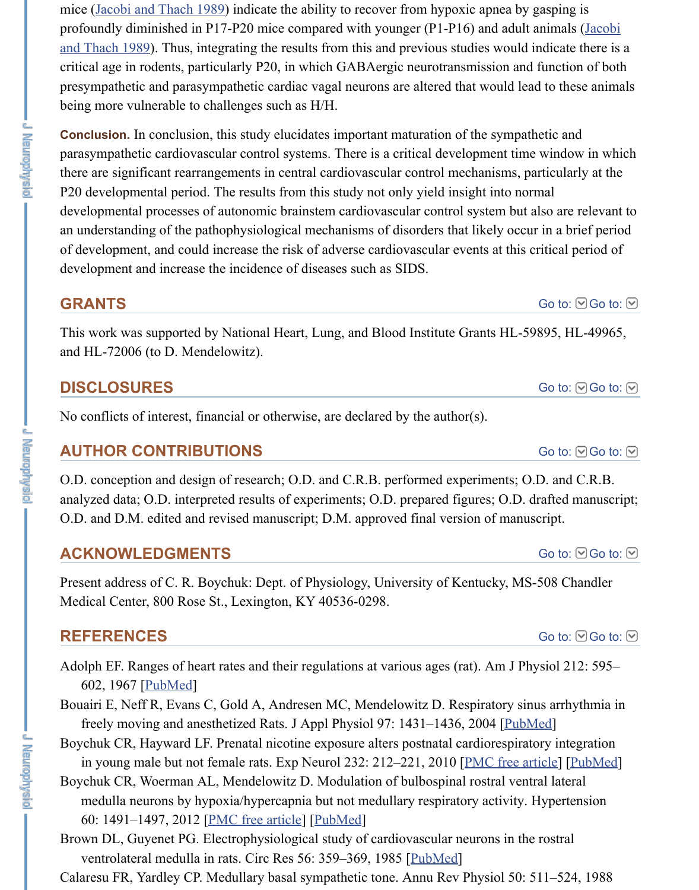P20 developmental period. The results from this study not only yield insight into normal devel[opmental processes of au](https://www.ncbi.nlm.nih.gov/pmc/articles/PMC3742984/#B24)tonomic brainstem cardiovascular control system but a an understanding of the pathophysiological mechanisms of disorders that likely occur of development, and could increase the risk of adverse cardiovascular events at this c development and increase the incidence of diseases such as SIDS.

# **GRANTS**

This work was supported by National Heart, Lung, and Blood Institute Grants HL-59 and HL-72006 (to D. Mendelowitz).

# **DISCLOSURES**

No conflicts of interest, financial or otherwise, are declared by the author(s).

## **AUTHOR CONTRIBUTIONS**

O.D. conception and design of research; O.D. and C.R.B. performed experiments; O. analyzed data; O.D. interpreted results of experiments; O.D. prepared figures; O.D. d O.D. and D.M. edited and revised manuscript; D.M. approved final version of manus

## **ACKNOWLEDGMENTS**

Present address of C. R. Boychuk: Dept. of Physiology, University of Kentucky, MS-Medical Center, 800 Rose St., Lexington, KY 40536-0298.

# **REFERENCES**

Adolph EF. Ranges of heart rates and their regulations at various ages (rat). Am J Physiol 602, 1967 [PubMed]

Bouairi E, Neff R, Evans C, Gold A, Andresen MC, Mendelowitz D. Respiratory sin freely moving and anesthetized Rats. J Appl Physiol 97: 1431–1436, 2004 [PubMed]

- Boychuk CR, Hayward LF. Prenatal nicotine exposure alters postnatal cardiorespirate in young male but not female rats. Exp Neurol 232: 212-221, 2010 [PMC free article]
- Boychuk CR, Woerman AL, Mendelowitz D. Modulation of bulbospinal rostral vent medulla neurons by hypoxia/hypercapnia but not medullary respiratory activity. I 60: 1491–1497, 2012 [PMC free article] [PubMed]

Brown DL, Guyenet PG. Electrophysiological study of cardiovascular neurons in the ventrolateral medulla in rats. Circ Res 56: 359–369, 1985 [PubMed]

Calaresu FR, [Yardley C](https://www.ncbi.nlm.nih.gov/pubmed/6020532)P. Medullary basal sympathetic tone. Annu Rev Physiol 50: 5

**J Maydrawal**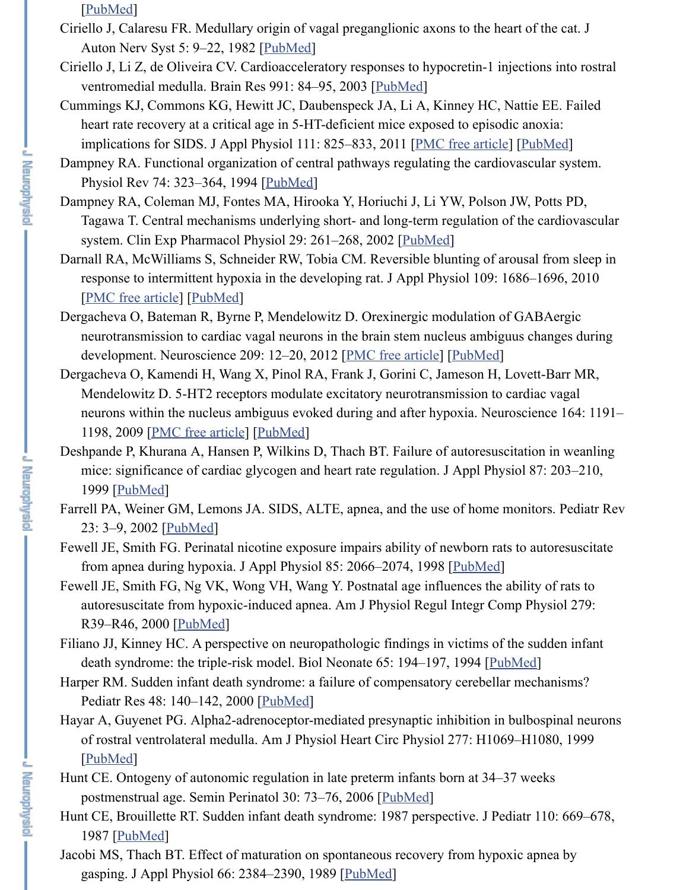Da[mpney RA](https://www.ncbi.nlm.nih.gov/pubmed/3288103), Coleman MJ, Fontes MA, Hirooka Y, Horiuchi J, Li YW, Polson JW, Tagawa T. Central mechanisms underlying short- and long-term regulation of the system. Clin Exp Pharmacol Physiol [29: 2](https://www.ncbi.nlm.nih.gov/pubmed/6173408)61–268, 2002 [PubMed]

**The Property** 

**LENGIQUESE** 

J **Newphysic** 

- Darnall RA, McWilliams S, Schneider RW, Tobia CM. Reversible blunting of arousa response to intermittent hypoxia in the developing r[at. J Appl](https://www.ncbi.nlm.nih.gov/pubmed/14575880) Physiol 109: 1686– [PMC free article] [PubMed]
- Dergacheva O, Bateman R, Byrne P, Mendelowitz D. Orexinergic modulation of GA neurotransmission to cardiac vagal neurons in the brain ste[m nucleus ambigu](https://www.ncbi.nlm.nih.gov/pmc/articles/PMC3174796/)us c development. Neuroscience 209: 12–20, 2012 [PMC free article] [PubMed]
- Dergacheva O, Kamendi H, Wang X[, Pinol R](https://www.ncbi.nlm.nih.gov/pubmed/8171117)A, Frank J, Gorini C, Jameson H, Love Mendelowitz D. 5-HT2 receptors modulate excitatory neurotransmission to cardi neurons within the nucleus ambiguus evoked during and after hypoxia. Neuroscience 164: 1191–164: 1191–1012–101 1198, 2009 [PMC free article] [PubMed]
- Deshpande P, Khurana A, Hansen P, Wilkins D, Thach BT. F[ailure of](https://www.ncbi.nlm.nih.gov/pubmed/11985533) autoresuscitation mice: significance of cardiac glycogen and heart rate regulation. J Appl Physiol 8 [1999 \[PubMed\]](https://www.ncbi.nlm.nih.gov/pmc/articles/PMC3006406/)
- Farrell PA, Weiner GM[, Lemons](https://www.ncbi.nlm.nih.gov/pubmed/20930126) JA. SIDS, ALTE, apnea, and the use of home monit 23: 3–9, 2002 [PubMed]
- Fewell JE, Smith FG. Perinatal nicotine exposure i[mpairs ability of](https://www.ncbi.nlm.nih.gov/pmc/articles/PMC3352601/) n[ewborn ra](https://www.ncbi.nlm.nih.gov/pubmed/22390944)ts to a from apnea during hypoxia. J Appl Physiol 85: 2066–2074, 1998 [PubMed]
- Fewell JE, Smith FG, Ng VK, Wong VH, Wang Y. Postnatal age influences the abilit autoresuscitate from hypoxic-induced apnea. Am J Physiol Regul Integr Comp P. R39–R46, 2[000 \[PubMed\]](https://www.ncbi.nlm.nih.gov/pmc/articles/PMC2783201/)
- Filiano JJ, Kinney HC. A perspecti[ve on neu](https://www.ncbi.nlm.nih.gov/pubmed/19772899)ropathologic findings in victims of the s death syndrome: the triple-risk model. Biol Neonate 65: 194-197, 1994 [PubMed]
- Harper R[M. Sudde](https://www.ncbi.nlm.nih.gov/pubmed/10409576)n infant death syndrome: a failure of compensatory cerebellar med Pediatr Res 48: 140–142, 2000 [PubMed]
- Hayar A, Guyenet [PG. Alph](https://www.ncbi.nlm.nih.gov/pubmed/11773587)a2-adrenoceptor-mediated presynaptic inhibition in bulb of rostral ventrolateral medulla. Am J Physiol Heart Circ Physiol 277: H1069-H1 [PubMed]
- Hunt CE. Ontogeny of autonomic regulation in late preterm infants bo[rn at 34–](https://www.ncbi.nlm.nih.gov/pubmed/9843527)37 we postmenstrual age. Semin Perinatol 30: 73–76, 2006 [PubMed]
- Hunt CE, Brouillette [RT. Sudd](https://www.ncbi.nlm.nih.gov/pubmed/10896862)en infant death syndrome: 1987 perspective. J Pediatr 1987 [PubMed]
- Jacobi MS, Thach BT. Effect of maturation on spontaneous recovery from h[ypoxic ap](https://www.ncbi.nlm.nih.gov/pubmed/8038282)proximately gasping. J Appl Physiol 66: 2384–2390, 1989 [PubMed]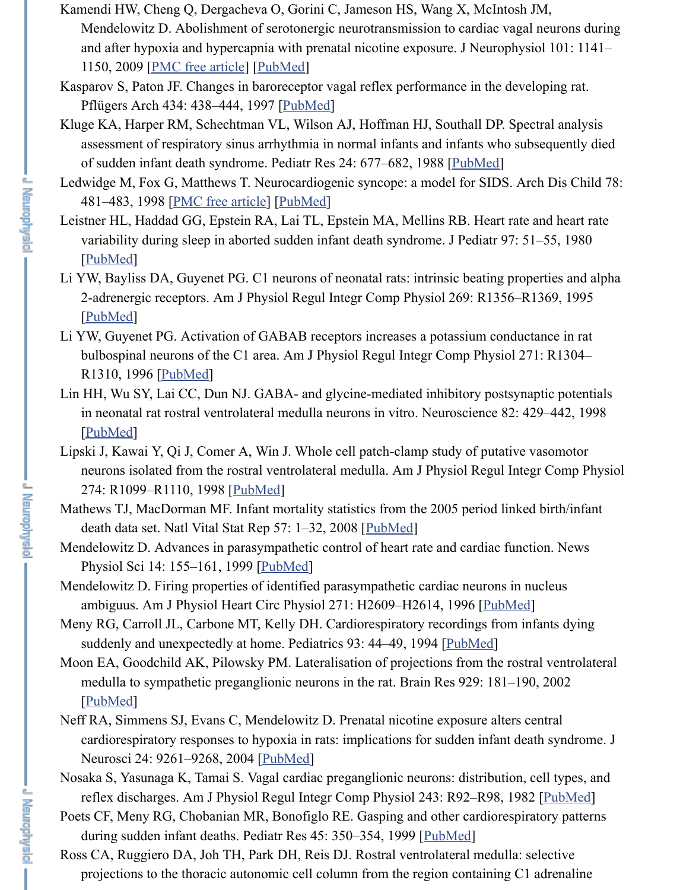- 481–483, 1998 <u>[PMC free article</u>] [<u>PubMed</u>]
- Leistner HL, Haddad GG, Epstein RA, Lai TL, Epstein MA, Mellins RB. Heart rate and variability during sleep in aborted sudden infant death syndrome. J Pediatr 97: 51 [PubMed]

**England** 

**J Newphysic** 

**J Neurophysic** 

- Li YW, Bayliss [DA, Guyenet PG](https://www.ncbi.nlm.nih.gov/pmc/articles/PMC3815238/). [C1 neuron](https://www.ncbi.nlm.nih.gov/pubmed/19091927)s of neonatal rats: intrinsic beating properties 2-adrenergic receptors. Am J Physi[ol Regul I](https://www.ncbi.nlm.nih.gov/pubmed/9211810)ntegr Comp Physiol 269: R1356–R1 [PubMed]
- Li YW, Guyenet PG. Activation of GABAB receptors increases a potassium conduct bulbospinal neurons of the C1 area. Am J Physiol Regul Integr Co[mp Phys](https://www.ncbi.nlm.nih.gov/pubmed/3205622)iol 27 R1310, 1996 [PubMed]
- Lin HH, Wu SY, La[i CC, Dun NJ. GA](https://www.ncbi.nlm.nih.gov/pmc/articles/PMC1717554/)[BA- and g](https://www.ncbi.nlm.nih.gov/pubmed/9659101)lycine-mediated inhibitory postsyna in neonatal rat rostral ventrolateral medulla neurons in vitro. Neuroscience 82: 42 [PubMed]
- Lips[ki J, Kaw](https://www.ncbi.nlm.nih.gov/pubmed/7381648)ai Y, Qi J, Comer A, Win J. Whole cell patch-clamp study of putative v neurons isolated from the rostral ventrolateral medulla. Am J Physiol Regul Integration 274: R1099–R1110, 1998 [PubMed]
- Mat[hews TJ,](https://www.ncbi.nlm.nih.gov/pubmed/8594938) MacDorman MF. Infant mortality statistics from the 2005 period linked death data set. Natl Vital Stat Rep 57: 1–32, 2008 [PubMed]
- Mendelowitz D. Advances in parasympathetic control of heart rate and cardiac function. Physiol Sci 1[4: 155–16](https://www.ncbi.nlm.nih.gov/pubmed/8945968)1, 1999 [PubMed]
- Mendelowitz D. Firing properties of identified parasympathetic cardiac neurons in nu ambiguus. Am J Physiol Heart Circ Physiol 271: H2609–H2614, 1996 [PubMed]
- Me[ny RG, Ca](https://www.ncbi.nlm.nih.gov/pubmed/9466452)rroll JL, Carbone MT, Kelly DH. Cardiorespiratory recordings from infants of suddenly and unexpectedly at home. Pediatrics 93: 44-49, 1994 [PubMed]
- Moon EA, Goodchild AK, Pilowsky PM. Lateralisation of projections from the rostral medulla to sympathetic pre[ganglion](https://www.ncbi.nlm.nih.gov/pubmed/9575975)ic neurons in the rat. Brain Res 929: 181-190 [PubMed]
- Neff RA, Simmens SJ, Evans C, Mendelowitz D. Pren[atal nicot](https://www.ncbi.nlm.nih.gov/pubmed/18972721)ine exposure alters central cardiorespiratory responses to hypoxia in rats: implications for sudden infant dea Neurosci 24: 9261–9268, 2004 [\[PubMed](https://www.ncbi.nlm.nih.gov/pubmed/11390842)]
- Nosaka S, Yasunaga K, Tamai S. Vagal cardiac preganglionic neurons: distribution, c reflex discharges. Am J Physiol Regul Integr Comp Physiol 243: R92–[R98, 1982](https://www.ncbi.nlm.nih.gov/pubmed/8997322)
- Poets CF, Meny RG, Chobanian MR, Bonofiglo RE. Gasping and other cardiorespirations. during sudden infant deaths. Pediatr Res 45: 350–354, 1999 [Pub[Med\]](https://www.ncbi.nlm.nih.gov/pubmed/8265322)
- Ross CA, Ruggiero DA, Joh TH, Park DH, Reis DJ. Rostral ventrolateral medulla: se projections to the thoracic autonomic cell column from the region containing C1